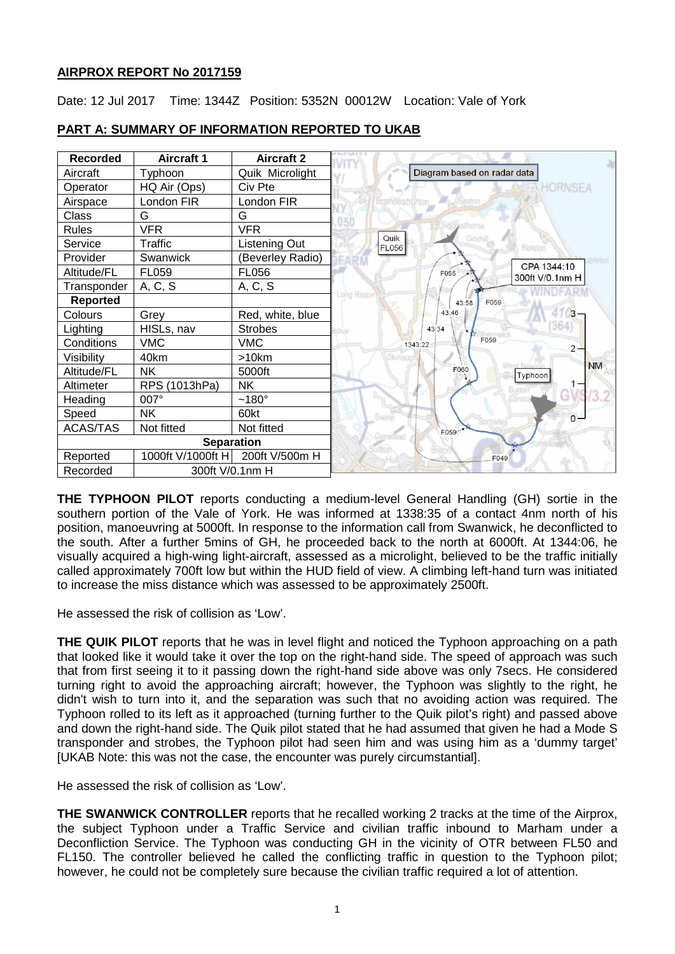## **AIRPROX REPORT No 2017159**

Date: 12 Jul 2017 Time: 1344Z Position: 5352N 00012W Location: Vale of York



# **PART A: SUMMARY OF INFORMATION REPORTED TO UKAB**

**THE TYPHOON PILOT** reports conducting a medium-level General Handling (GH) sortie in the southern portion of the Vale of York. He was informed at 1338:35 of a contact 4nm north of his position, manoeuvring at 5000ft. In response to the information call from Swanwick, he deconflicted to the south. After a further 5mins of GH, he proceeded back to the north at 6000ft. At 1344:06, he visually acquired a high-wing light-aircraft, assessed as a microlight, believed to be the traffic initially called approximately 700ft low but within the HUD field of view. A climbing left-hand turn was initiated to increase the miss distance which was assessed to be approximately 2500ft.

He assessed the risk of collision as 'Low'.

**THE QUIK PILOT** reports that he was in level flight and noticed the Typhoon approaching on a path that looked like it would take it over the top on the right-hand side. The speed of approach was such that from first seeing it to it passing down the right-hand side above was only 7secs. He considered turning right to avoid the approaching aircraft; however, the Typhoon was slightly to the right, he didn't wish to turn into it, and the separation was such that no avoiding action was required. The Typhoon rolled to its left as it approached (turning further to the Quik pilot's right) and passed above and down the right-hand side. The Quik pilot stated that he had assumed that given he had a Mode S transponder and strobes, the Typhoon pilot had seen him and was using him as a 'dummy target' [UKAB Note: this was not the case, the encounter was purely circumstantial].

He assessed the risk of collision as 'Low'.

**THE SWANWICK CONTROLLER** reports that he recalled working 2 tracks at the time of the Airprox, the subject Typhoon under a Traffic Service and civilian traffic inbound to Marham under a Deconfliction Service. The Typhoon was conducting GH in the vicinity of OTR between FL50 and FL150. The controller believed he called the conflicting traffic in question to the Typhoon pilot; however, he could not be completely sure because the civilian traffic required a lot of attention.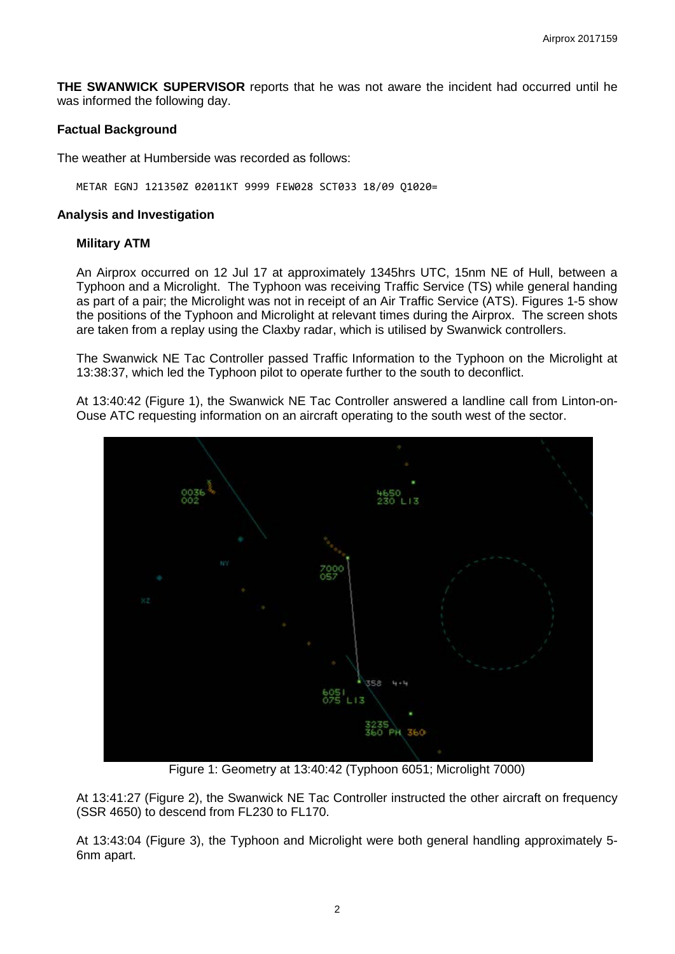**THE SWANWICK SUPERVISOR** reports that he was not aware the incident had occurred until he was informed the following day.

## **Factual Background**

The weather at Humberside was recorded as follows:

METAR EGNJ 121350Z 02011KT 9999 FEW028 SCT033 18/09 Q1020=

### **Analysis and Investigation**

## **Military ATM**

An Airprox occurred on 12 Jul 17 at approximately 1345hrs UTC, 15nm NE of Hull, between a Typhoon and a Microlight. The Typhoon was receiving Traffic Service (TS) while general handing as part of a pair; the Microlight was not in receipt of an Air Traffic Service (ATS). Figures 1-5 show the positions of the Typhoon and Microlight at relevant times during the Airprox. The screen shots are taken from a replay using the Claxby radar, which is utilised by Swanwick controllers.

The Swanwick NE Tac Controller passed Traffic Information to the Typhoon on the Microlight at 13:38:37, which led the Typhoon pilot to operate further to the south to deconflict.

At 13:40:42 (Figure 1), the Swanwick NE Tac Controller answered a landline call from Linton-on-Ouse ATC requesting information on an aircraft operating to the south west of the sector.



Figure 1: Geometry at 13:40:42 (Typhoon 6051; Microlight 7000)

At 13:41:27 (Figure 2), the Swanwick NE Tac Controller instructed the other aircraft on frequency (SSR 4650) to descend from FL230 to FL170.

At 13:43:04 (Figure 3), the Typhoon and Microlight were both general handling approximately 5- 6nm apart.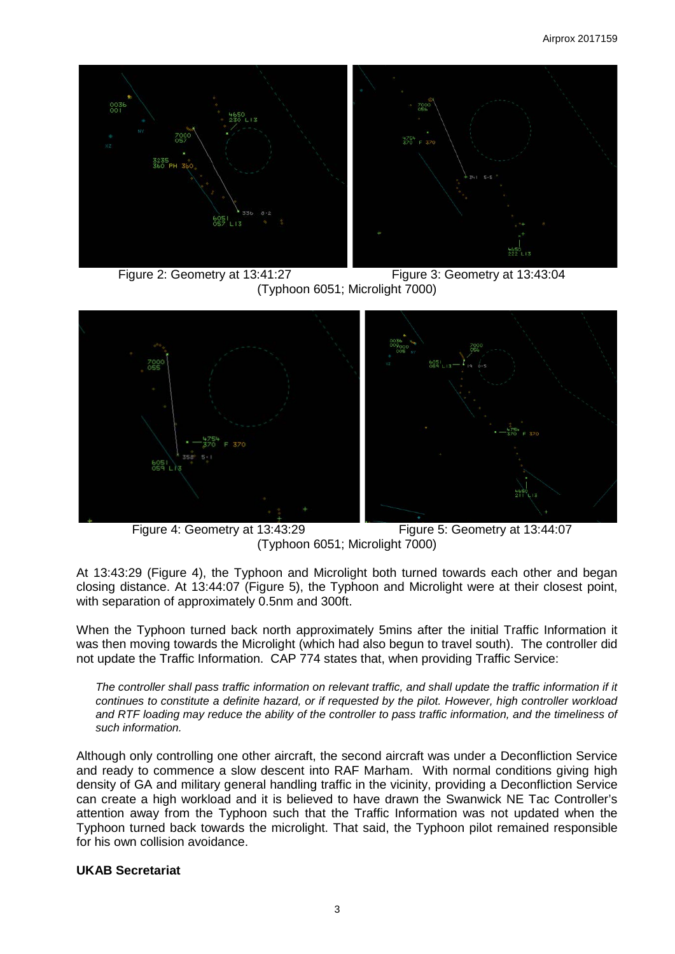

 Figure 2: Geometry at 13:41:27 Figure 3: Geometry at 13:43:04 (Typhoon 6051; Microlight 7000)



 Figure 4: Geometry at 13:43:29 Figure 5: Geometry at 13:44:07 (Typhoon 6051; Microlight 7000)

At 13:43:29 (Figure 4), the Typhoon and Microlight both turned towards each other and began closing distance. At 13:44:07 (Figure 5), the Typhoon and Microlight were at their closest point, with separation of approximately 0.5nm and 300ft.

When the Typhoon turned back north approximately 5mins after the initial Traffic Information it was then moving towards the Microlight (which had also begun to travel south). The controller did not update the Traffic Information. CAP 774 states that, when providing Traffic Service:

*The controller shall pass traffic information on relevant traffic, and shall update the traffic information if it continues to constitute a definite hazard, or if requested by the pilot. However, high controller workload and RTF loading may reduce the ability of the controller to pass traffic information, and the timeliness of such information.*

Although only controlling one other aircraft, the second aircraft was under a Deconfliction Service and ready to commence a slow descent into RAF Marham. With normal conditions giving high density of GA and military general handling traffic in the vicinity, providing a Deconfliction Service can create a high workload and it is believed to have drawn the Swanwick NE Tac Controller's attention away from the Typhoon such that the Traffic Information was not updated when the Typhoon turned back towards the microlight. That said, the Typhoon pilot remained responsible for his own collision avoidance.

### **UKAB Secretariat**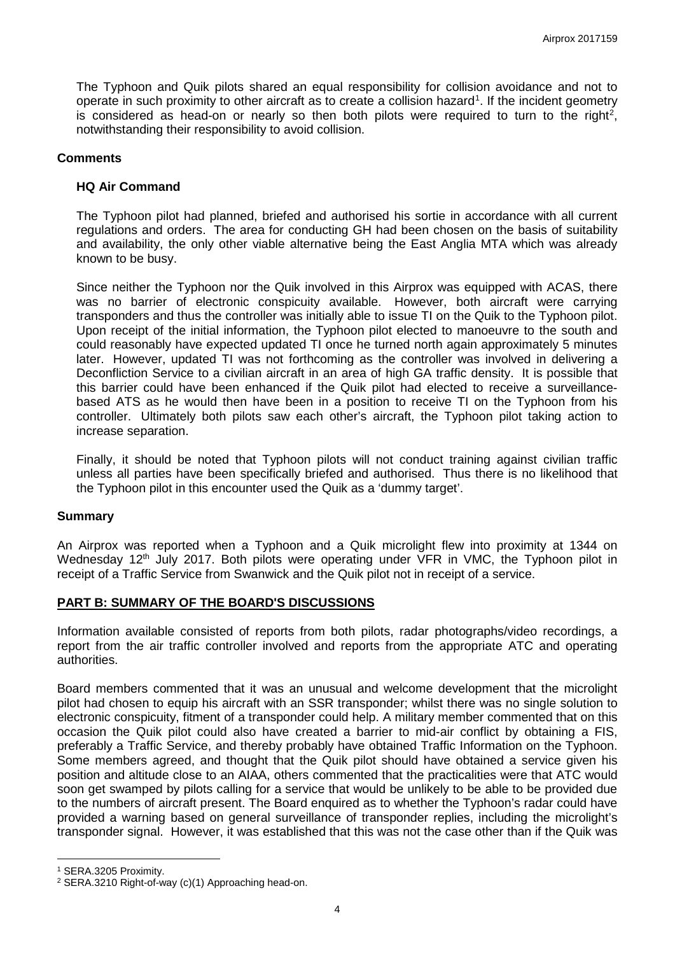The Typhoon and Quik pilots shared an equal responsibility for collision avoidance and not to operate in such proximity to other aircraft as to create a collision hazard<sup>[1](#page-3-0)</sup>. If the incident geometry is considered as head-on or nearly so then both pilots were required to turn to the right<sup>[2](#page-3-1)</sup>, notwithstanding their responsibility to avoid collision.

## **Comments**

## **HQ Air Command**

The Typhoon pilot had planned, briefed and authorised his sortie in accordance with all current regulations and orders. The area for conducting GH had been chosen on the basis of suitability and availability, the only other viable alternative being the East Anglia MTA which was already known to be busy.

Since neither the Typhoon nor the Quik involved in this Airprox was equipped with ACAS, there was no barrier of electronic conspicuity available. However, both aircraft were carrying transponders and thus the controller was initially able to issue TI on the Quik to the Typhoon pilot. Upon receipt of the initial information, the Typhoon pilot elected to manoeuvre to the south and could reasonably have expected updated TI once he turned north again approximately 5 minutes later. However, updated TI was not forthcoming as the controller was involved in delivering a Deconfliction Service to a civilian aircraft in an area of high GA traffic density. It is possible that this barrier could have been enhanced if the Quik pilot had elected to receive a surveillancebased ATS as he would then have been in a position to receive TI on the Typhoon from his controller. Ultimately both pilots saw each other's aircraft, the Typhoon pilot taking action to increase separation.

Finally, it should be noted that Typhoon pilots will not conduct training against civilian traffic unless all parties have been specifically briefed and authorised. Thus there is no likelihood that the Typhoon pilot in this encounter used the Quik as a 'dummy target'.

### **Summary**

An Airprox was reported when a Typhoon and a Quik microlight flew into proximity at 1344 on Wednesday 12<sup>th</sup> July 2017. Both pilots were operating under VFR in VMC, the Typhoon pilot in receipt of a Traffic Service from Swanwick and the Quik pilot not in receipt of a service.

## **PART B: SUMMARY OF THE BOARD'S DISCUSSIONS**

Information available consisted of reports from both pilots, radar photographs/video recordings, a report from the air traffic controller involved and reports from the appropriate ATC and operating authorities.

Board members commented that it was an unusual and welcome development that the microlight pilot had chosen to equip his aircraft with an SSR transponder; whilst there was no single solution to electronic conspicuity, fitment of a transponder could help. A military member commented that on this occasion the Quik pilot could also have created a barrier to mid-air conflict by obtaining a FIS, preferably a Traffic Service, and thereby probably have obtained Traffic Information on the Typhoon. Some members agreed, and thought that the Quik pilot should have obtained a service given his position and altitude close to an AIAA, others commented that the practicalities were that ATC would soon get swamped by pilots calling for a service that would be unlikely to be able to be provided due to the numbers of aircraft present. The Board enquired as to whether the Typhoon's radar could have provided a warning based on general surveillance of transponder replies, including the microlight's transponder signal. However, it was established that this was not the case other than if the Quik was

l

<span id="page-3-0"></span><sup>1</sup> SERA.3205 Proximity.

<span id="page-3-1"></span><sup>2</sup> SERA.3210 Right-of-way (c)(1) Approaching head-on.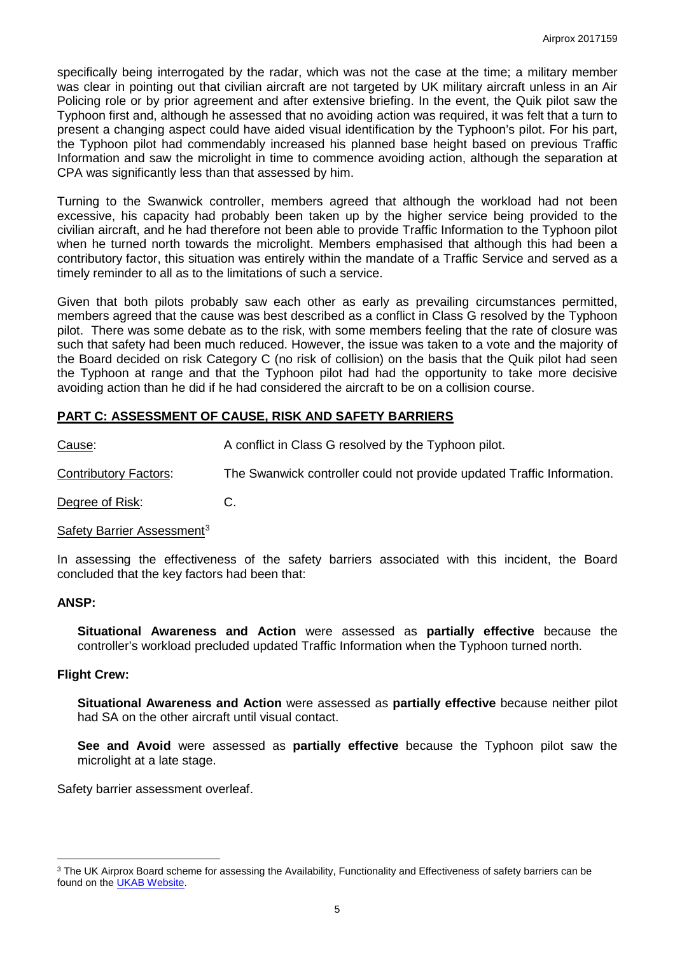specifically being interrogated by the radar, which was not the case at the time; a military member was clear in pointing out that civilian aircraft are not targeted by UK military aircraft unless in an Air Policing role or by prior agreement and after extensive briefing. In the event, the Quik pilot saw the Typhoon first and, although he assessed that no avoiding action was required, it was felt that a turn to present a changing aspect could have aided visual identification by the Typhoon's pilot. For his part, the Typhoon pilot had commendably increased his planned base height based on previous Traffic Information and saw the microlight in time to commence avoiding action, although the separation at CPA was significantly less than that assessed by him.

Turning to the Swanwick controller, members agreed that although the workload had not been excessive, his capacity had probably been taken up by the higher service being provided to the civilian aircraft, and he had therefore not been able to provide Traffic Information to the Typhoon pilot when he turned north towards the microlight. Members emphasised that although this had been a contributory factor, this situation was entirely within the mandate of a Traffic Service and served as a timely reminder to all as to the limitations of such a service.

Given that both pilots probably saw each other as early as prevailing circumstances permitted, members agreed that the cause was best described as a conflict in Class G resolved by the Typhoon pilot. There was some debate as to the risk, with some members feeling that the rate of closure was such that safety had been much reduced. However, the issue was taken to a vote and the majority of the Board decided on risk Category C (no risk of collision) on the basis that the Quik pilot had seen the Typhoon at range and that the Typhoon pilot had had the opportunity to take more decisive avoiding action than he did if he had considered the aircraft to be on a collision course.

## **PART C: ASSESSMENT OF CAUSE, RISK AND SAFETY BARRIERS**

Cause: A conflict in Class G resolved by the Typhoon pilot.

Contributory Factors: The Swanwick controller could not provide updated Traffic Information.

Degree of Risk: C.

### Safety Barrier Assessment<sup>[3](#page-4-0)</sup>

In assessing the effectiveness of the safety barriers associated with this incident, the Board concluded that the key factors had been that:

### **ANSP:**

l

**Situational Awareness and Action** were assessed as **partially effective** because the controller's workload precluded updated Traffic Information when the Typhoon turned north.

### **Flight Crew:**

**Situational Awareness and Action** were assessed as **partially effective** because neither pilot had SA on the other aircraft until visual contact.

**See and Avoid** were assessed as **partially effective** because the Typhoon pilot saw the microlight at a late stage.

Safety barrier assessment overleaf.

<span id="page-4-0"></span><sup>&</sup>lt;sup>3</sup> The UK Airprox Board scheme for assessing the Availability, Functionality and Effectiveness of safety barriers can be found on the [UKAB Website.](http://www.airproxboard.org.uk/Learn-more/Airprox-Barrier-Assessment/)